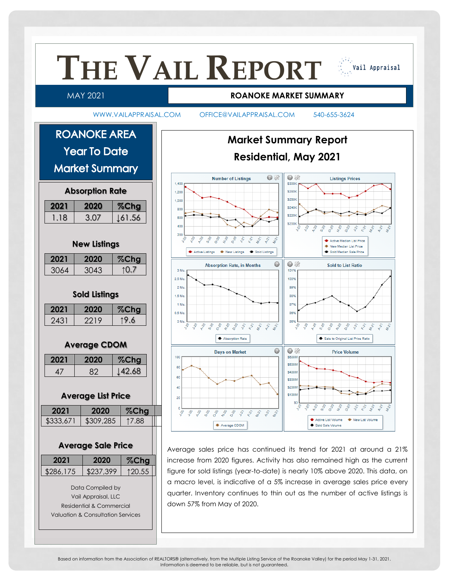

Based on information from the Association of REALTORS® (alternatively, from the Multiple Listing Service of the Roanoke Valley) for the period May 1-31, 2021. Information is deemed to be reliable, but is not guaranteed.